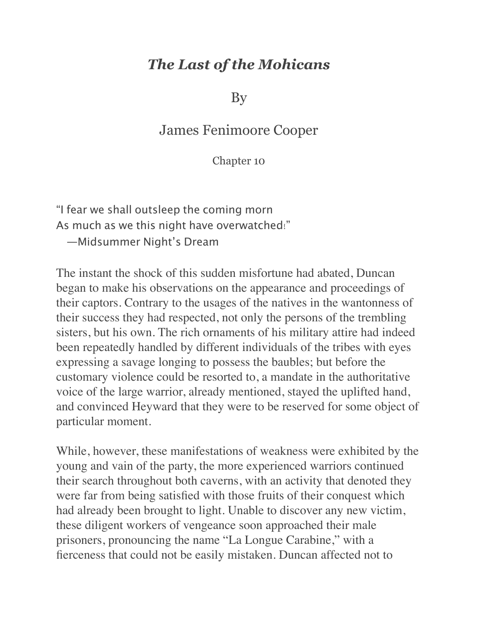## *The Last of the Mohicans*

By

## James Fenimoore Cooper

Chapter 10

"I fear we shall outsleep the coming morn As much as we this night have overwatched!" —Midsummer Night's Dream

The instant the shock of this sudden misfortune had abated, Duncan began to make his observations on the appearance and proceedings of their captors. Contrary to the usages of the natives in the wantonness of their success they had respected, not only the persons of the trembling sisters, but his own. The rich ornaments of his military attire had indeed been repeatedly handled by different individuals of the tribes with eyes expressing a savage longing to possess the baubles; but before the customary violence could be resorted to, a mandate in the authoritative voice of the large warrior, already mentioned, stayed the uplifted hand, and convinced Heyward that they were to be reserved for some object of particular moment.

While, however, these manifestations of weakness were exhibited by the young and vain of the party, the more experienced warriors continued their search throughout both caverns, with an activity that denoted they were far from being satisfied with those fruits of their conquest which had already been brought to light. Unable to discover any new victim, these diligent workers of vengeance soon approached their male prisoners, pronouncing the name "La Longue Carabine," with a fierceness that could not be easily mistaken. Duncan affected not to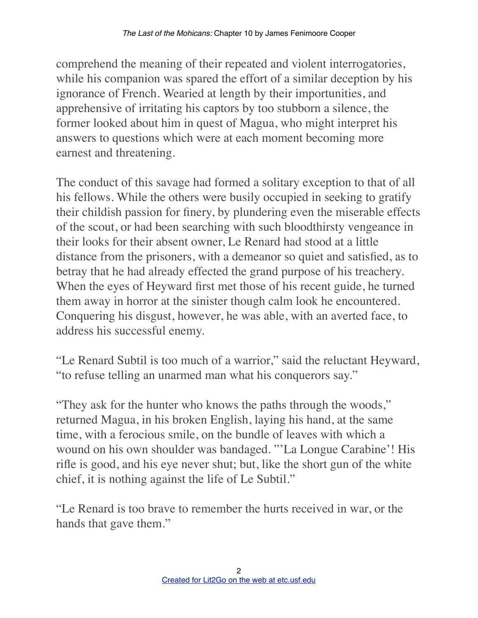comprehend the meaning of their repeated and violent interrogatories, while his companion was spared the effort of a similar deception by his ignorance of French. Wearied at length by their importunities, and apprehensive of irritating his captors by too stubborn a silence, the former looked about him in quest of Magua, who might interpret his answers to questions which were at each moment becoming more earnest and threatening.

The conduct of this savage had formed a solitary exception to that of all his fellows. While the others were busily occupied in seeking to gratify their childish passion for finery, by plundering even the miserable effects of the scout, or had been searching with such bloodthirsty vengeance in their looks for their absent owner, Le Renard had stood at a little distance from the prisoners, with a demeanor so quiet and satisfied, as to betray that he had already effected the grand purpose of his treachery. When the eyes of Heyward first met those of his recent guide, he turned them away in horror at the sinister though calm look he encountered. Conquering his disgust, however, he was able, with an averted face, to address his successful enemy.

"Le Renard Subtil is too much of a warrior," said the reluctant Heyward, "to refuse telling an unarmed man what his conquerors say."

"They ask for the hunter who knows the paths through the woods," returned Magua, in his broken English, laying his hand, at the same time, with a ferocious smile, on the bundle of leaves with which a wound on his own shoulder was bandaged. "'La Longue Carabine'! His rifle is good, and his eye never shut; but, like the short gun of the white chief, it is nothing against the life of Le Subtil."

"Le Renard is too brave to remember the hurts received in war, or the hands that gave them."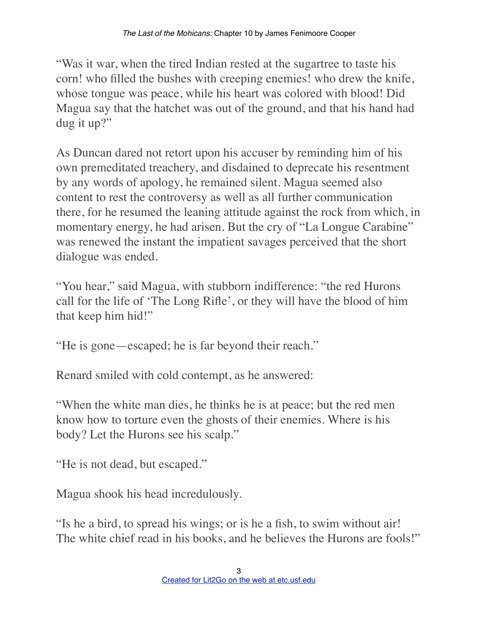"Was it war, when the tired Indian rested at the sugartree to taste his corn! who filled the bushes with creeping enemies! who drew the knife, whose tongue was peace, while his heart was colored with blood! Did Magua say that the hatchet was out of the ground, and that his hand had dug it up?"

As Duncan dared not retort upon his accuser by reminding him of his own premeditated treachery, and disdained to deprecate his resentment by any words of apology, he remained silent. Magua seemed also content to rest the controversy as well as all further communication there, for he resumed the leaning attitude against the rock from which, in momentary energy, he had arisen. But the cry of "La Longue Carabine" was renewed the instant the impatient savages perceived that the short dialogue was ended.

"You hear," said Magua, with stubborn indifference: "the red Hurons call for the life of 'The Long Rifle', or they will have the blood of him that keep him hid!"

"He is gone—escaped; he is far beyond their reach."

Renard smiled with cold contempt, as he answered:

"When the white man dies, he thinks he is at peace; but the red men know how to torture even the ghosts of their enemies. Where is his body? Let the Hurons see his scalp."

"He is not dead, but escaped."

Magua shook his head incredulously.

"Is he a bird, to spread his wings; or is he a fish, to swim without air! The white chief read in his books, and he believes the Hurons are fools!"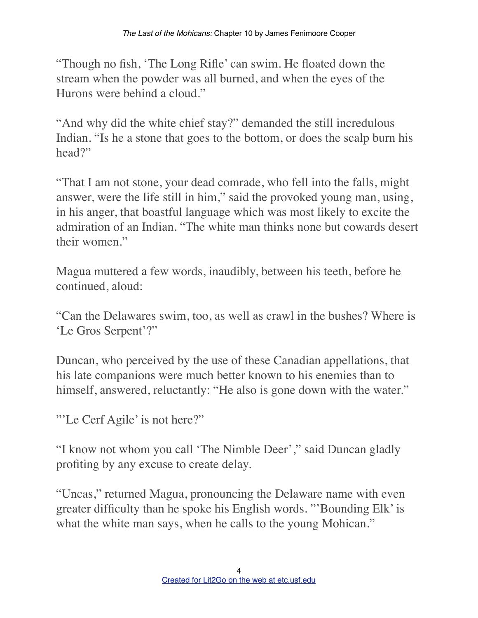"Though no fish, 'The Long Rifle' can swim. He floated down the stream when the powder was all burned, and when the eyes of the Hurons were behind a cloud."

"And why did the white chief stay?" demanded the still incredulous Indian. "Is he a stone that goes to the bottom, or does the scalp burn his head?"

"That I am not stone, your dead comrade, who fell into the falls, might answer, were the life still in him," said the provoked young man, using, in his anger, that boastful language which was most likely to excite the admiration of an Indian. "The white man thinks none but cowards desert their women."

Magua muttered a few words, inaudibly, between his teeth, before he continued, aloud:

"Can the Delawares swim, too, as well as crawl in the bushes? Where is 'Le Gros Serpent'?"

Duncan, who perceived by the use of these Canadian appellations, that his late companions were much better known to his enemies than to himself, answered, reluctantly: "He also is gone down with the water."

"'Le Cerf Agile' is not here?"

"I know not whom you call 'The Nimble Deer'," said Duncan gladly profiting by any excuse to create delay.

"Uncas," returned Magua, pronouncing the Delaware name with even greater difficulty than he spoke his English words. "'Bounding Elk' is what the white man says, when he calls to the young Mohican."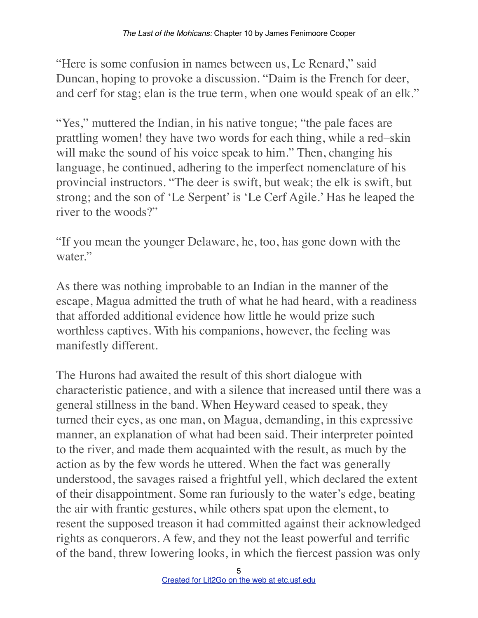"Here is some confusion in names between us, Le Renard," said Duncan, hoping to provoke a discussion. "Daim is the French for deer, and cerf for stag; elan is the true term, when one would speak of an elk."

"Yes," muttered the Indian, in his native tongue; "the pale faces are prattling women! they have two words for each thing, while a red–skin will make the sound of his voice speak to him." Then, changing his language, he continued, adhering to the imperfect nomenclature of his provincial instructors. "The deer is swift, but weak; the elk is swift, but strong; and the son of 'Le Serpent' is 'Le Cerf Agile.' Has he leaped the river to the woods?"

"If you mean the younger Delaware, he, too, has gone down with the water."

As there was nothing improbable to an Indian in the manner of the escape, Magua admitted the truth of what he had heard, with a readiness that afforded additional evidence how little he would prize such worthless captives. With his companions, however, the feeling was manifestly different.

The Hurons had awaited the result of this short dialogue with characteristic patience, and with a silence that increased until there was a general stillness in the band. When Heyward ceased to speak, they turned their eyes, as one man, on Magua, demanding, in this expressive manner, an explanation of what had been said. Their interpreter pointed to the river, and made them acquainted with the result, as much by the action as by the few words he uttered. When the fact was generally understood, the savages raised a frightful yell, which declared the extent of their disappointment. Some ran furiously to the water's edge, beating the air with frantic gestures, while others spat upon the element, to resent the supposed treason it had committed against their acknowledged rights as conquerors. A few, and they not the least powerful and terrific of the band, threw lowering looks, in which the fiercest passion was only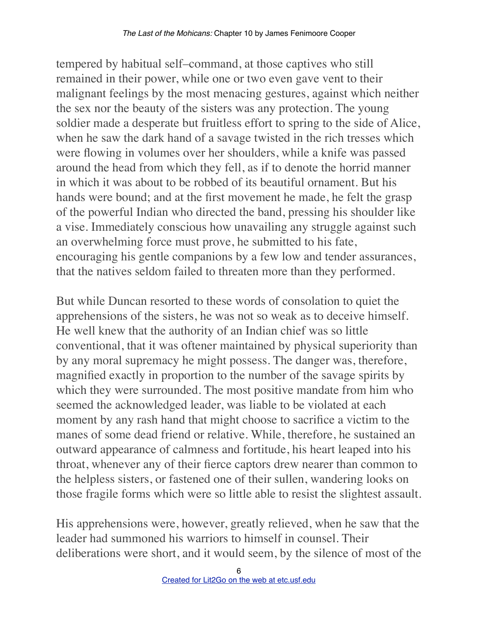tempered by habitual self–command, at those captives who still remained in their power, while one or two even gave vent to their malignant feelings by the most menacing gestures, against which neither the sex nor the beauty of the sisters was any protection. The young soldier made a desperate but fruitless effort to spring to the side of Alice, when he saw the dark hand of a savage twisted in the rich tresses which were flowing in volumes over her shoulders, while a knife was passed around the head from which they fell, as if to denote the horrid manner in which it was about to be robbed of its beautiful ornament. But his hands were bound; and at the first movement he made, he felt the grasp of the powerful Indian who directed the band, pressing his shoulder like a vise. Immediately conscious how unavailing any struggle against such an overwhelming force must prove, he submitted to his fate, encouraging his gentle companions by a few low and tender assurances, that the natives seldom failed to threaten more than they performed.

But while Duncan resorted to these words of consolation to quiet the apprehensions of the sisters, he was not so weak as to deceive himself. He well knew that the authority of an Indian chief was so little conventional, that it was oftener maintained by physical superiority than by any moral supremacy he might possess. The danger was, therefore, magnified exactly in proportion to the number of the savage spirits by which they were surrounded. The most positive mandate from him who seemed the acknowledged leader, was liable to be violated at each moment by any rash hand that might choose to sacrifice a victim to the manes of some dead friend or relative. While, therefore, he sustained an outward appearance of calmness and fortitude, his heart leaped into his throat, whenever any of their fierce captors drew nearer than common to the helpless sisters, or fastened one of their sullen, wandering looks on those fragile forms which were so little able to resist the slightest assault.

His apprehensions were, however, greatly relieved, when he saw that the leader had summoned his warriors to himself in counsel. Their deliberations were short, and it would seem, by the silence of most of the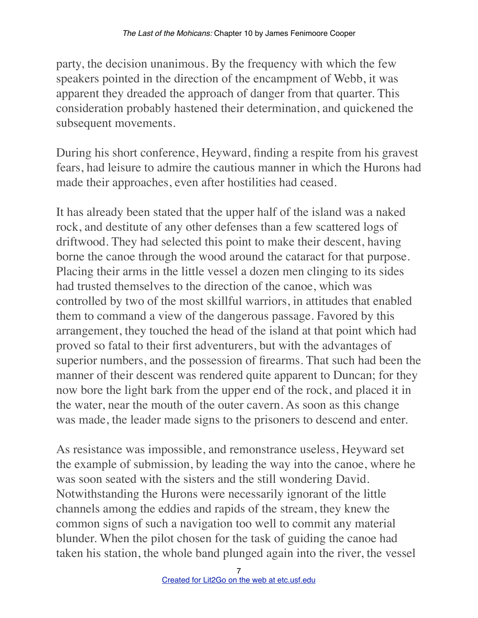party, the decision unanimous. By the frequency with which the few speakers pointed in the direction of the encampment of Webb, it was apparent they dreaded the approach of danger from that quarter. This consideration probably hastened their determination, and quickened the subsequent movements.

During his short conference, Heyward, finding a respite from his gravest fears, had leisure to admire the cautious manner in which the Hurons had made their approaches, even after hostilities had ceased.

It has already been stated that the upper half of the island was a naked rock, and destitute of any other defenses than a few scattered logs of driftwood. They had selected this point to make their descent, having borne the canoe through the wood around the cataract for that purpose. Placing their arms in the little vessel a dozen men clinging to its sides had trusted themselves to the direction of the canoe, which was controlled by two of the most skillful warriors, in attitudes that enabled them to command a view of the dangerous passage. Favored by this arrangement, they touched the head of the island at that point which had proved so fatal to their first adventurers, but with the advantages of superior numbers, and the possession of firearms. That such had been the manner of their descent was rendered quite apparent to Duncan; for they now bore the light bark from the upper end of the rock, and placed it in the water, near the mouth of the outer cavern. As soon as this change was made, the leader made signs to the prisoners to descend and enter.

As resistance was impossible, and remonstrance useless, Heyward set the example of submission, by leading the way into the canoe, where he was soon seated with the sisters and the still wondering David. Notwithstanding the Hurons were necessarily ignorant of the little channels among the eddies and rapids of the stream, they knew the common signs of such a navigation too well to commit any material blunder. When the pilot chosen for the task of guiding the canoe had taken his station, the whole band plunged again into the river, the vessel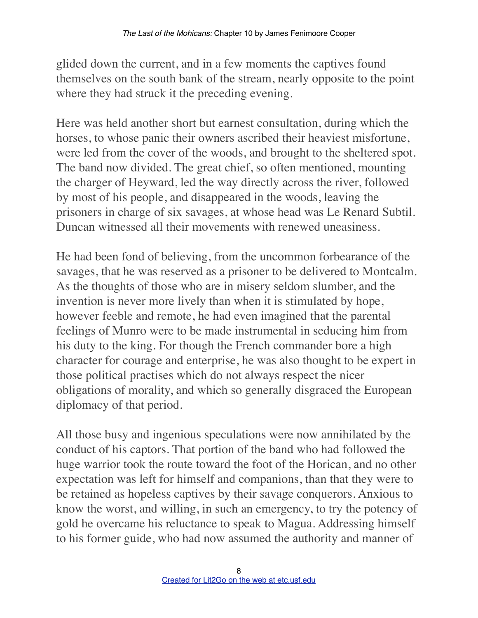glided down the current, and in a few moments the captives found themselves on the south bank of the stream, nearly opposite to the point where they had struck it the preceding evening.

Here was held another short but earnest consultation, during which the horses, to whose panic their owners ascribed their heaviest misfortune, were led from the cover of the woods, and brought to the sheltered spot. The band now divided. The great chief, so often mentioned, mounting the charger of Heyward, led the way directly across the river, followed by most of his people, and disappeared in the woods, leaving the prisoners in charge of six savages, at whose head was Le Renard Subtil. Duncan witnessed all their movements with renewed uneasiness.

He had been fond of believing, from the uncommon forbearance of the savages, that he was reserved as a prisoner to be delivered to Montcalm. As the thoughts of those who are in misery seldom slumber, and the invention is never more lively than when it is stimulated by hope, however feeble and remote, he had even imagined that the parental feelings of Munro were to be made instrumental in seducing him from his duty to the king. For though the French commander bore a high character for courage and enterprise, he was also thought to be expert in those political practises which do not always respect the nicer obligations of morality, and which so generally disgraced the European diplomacy of that period.

All those busy and ingenious speculations were now annihilated by the conduct of his captors. That portion of the band who had followed the huge warrior took the route toward the foot of the Horican, and no other expectation was left for himself and companions, than that they were to be retained as hopeless captives by their savage conquerors. Anxious to know the worst, and willing, in such an emergency, to try the potency of gold he overcame his reluctance to speak to Magua. Addressing himself to his former guide, who had now assumed the authority and manner of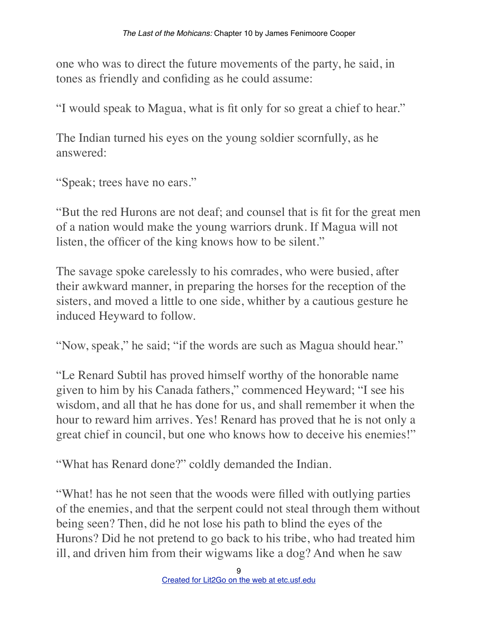one who was to direct the future movements of the party, he said, in tones as friendly and confiding as he could assume:

"I would speak to Magua, what is fit only for so great a chief to hear."

The Indian turned his eyes on the young soldier scornfully, as he answered:

"Speak; trees have no ears."

"But the red Hurons are not deaf; and counsel that is fit for the great men of a nation would make the young warriors drunk. If Magua will not listen, the officer of the king knows how to be silent."

The savage spoke carelessly to his comrades, who were busied, after their awkward manner, in preparing the horses for the reception of the sisters, and moved a little to one side, whither by a cautious gesture he induced Heyward to follow.

"Now, speak," he said; "if the words are such as Magua should hear."

"Le Renard Subtil has proved himself worthy of the honorable name given to him by his Canada fathers," commenced Heyward; "I see his wisdom, and all that he has done for us, and shall remember it when the hour to reward him arrives. Yes! Renard has proved that he is not only a great chief in council, but one who knows how to deceive his enemies!"

"What has Renard done?" coldly demanded the Indian.

"What! has he not seen that the woods were filled with outlying parties of the enemies, and that the serpent could not steal through them without being seen? Then, did he not lose his path to blind the eyes of the Hurons? Did he not pretend to go back to his tribe, who had treated him ill, and driven him from their wigwams like a dog? And when he saw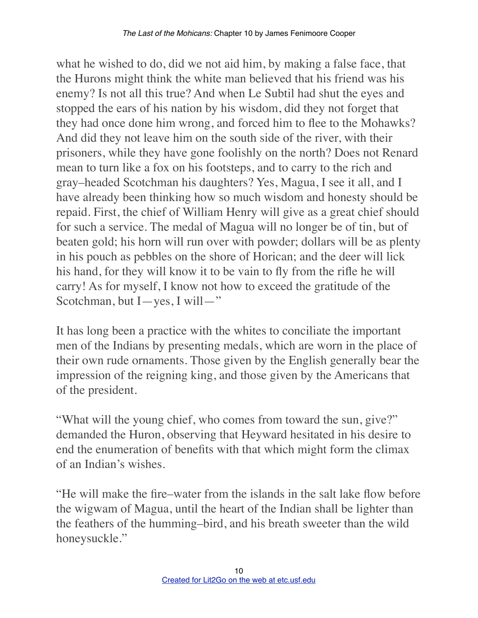what he wished to do, did we not aid him, by making a false face, that the Hurons might think the white man believed that his friend was his enemy? Is not all this true? And when Le Subtil had shut the eyes and stopped the ears of his nation by his wisdom, did they not forget that they had once done him wrong, and forced him to flee to the Mohawks? And did they not leave him on the south side of the river, with their prisoners, while they have gone foolishly on the north? Does not Renard mean to turn like a fox on his footsteps, and to carry to the rich and gray–headed Scotchman his daughters? Yes, Magua, I see it all, and I have already been thinking how so much wisdom and honesty should be repaid. First, the chief of William Henry will give as a great chief should for such a service. The medal of Magua will no longer be of tin, but of beaten gold; his horn will run over with powder; dollars will be as plenty in his pouch as pebbles on the shore of Horican; and the deer will lick his hand, for they will know it to be vain to fly from the rifle he will carry! As for myself, I know not how to exceed the gratitude of the Scotchman, but I—yes, I will—"

It has long been a practice with the whites to conciliate the important men of the Indians by presenting medals, which are worn in the place of their own rude ornaments. Those given by the English generally bear the impression of the reigning king, and those given by the Americans that of the president.

"What will the young chief, who comes from toward the sun, give?" demanded the Huron, observing that Heyward hesitated in his desire to end the enumeration of benefits with that which might form the climax of an Indian's wishes.

"He will make the fire–water from the islands in the salt lake flow before the wigwam of Magua, until the heart of the Indian shall be lighter than the feathers of the humming–bird, and his breath sweeter than the wild honeysuckle."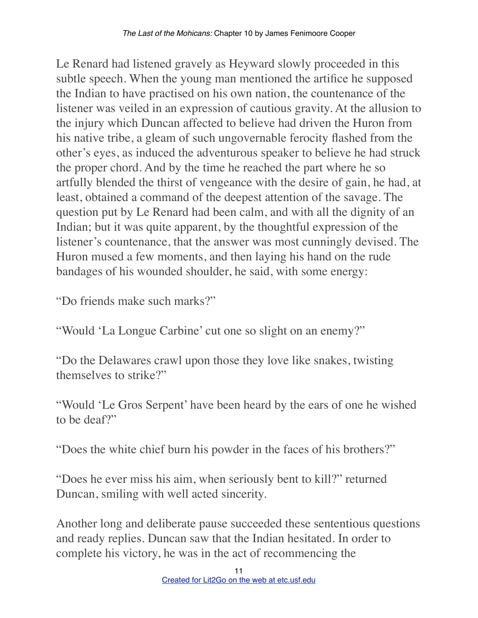Le Renard had listened gravely as Heyward slowly proceeded in this subtle speech. When the young man mentioned the artifice he supposed the Indian to have practised on his own nation, the countenance of the listener was veiled in an expression of cautious gravity. At the allusion to the injury which Duncan affected to believe had driven the Huron from his native tribe, a gleam of such ungovernable ferocity flashed from the other's eyes, as induced the adventurous speaker to believe he had struck the proper chord. And by the time he reached the part where he so artfully blended the thirst of vengeance with the desire of gain, he had, at least, obtained a command of the deepest attention of the savage. The question put by Le Renard had been calm, and with all the dignity of an Indian; but it was quite apparent, by the thoughtful expression of the listener's countenance, that the answer was most cunningly devised. The Huron mused a few moments, and then laying his hand on the rude bandages of his wounded shoulder, he said, with some energy:

"Do friends make such marks?"

"Would 'La Longue Carbine' cut one so slight on an enemy?"

"Do the Delawares crawl upon those they love like snakes, twisting themselves to strike?"

"Would 'Le Gros Serpent' have been heard by the ears of one he wished to be deaf?"

"Does the white chief burn his powder in the faces of his brothers?"

"Does he ever miss his aim, when seriously bent to kill?" returned Duncan, smiling with well acted sincerity.

Another long and deliberate pause succeeded these sententious questions and ready replies. Duncan saw that the Indian hesitated. In order to complete his victory, he was in the act of recommencing the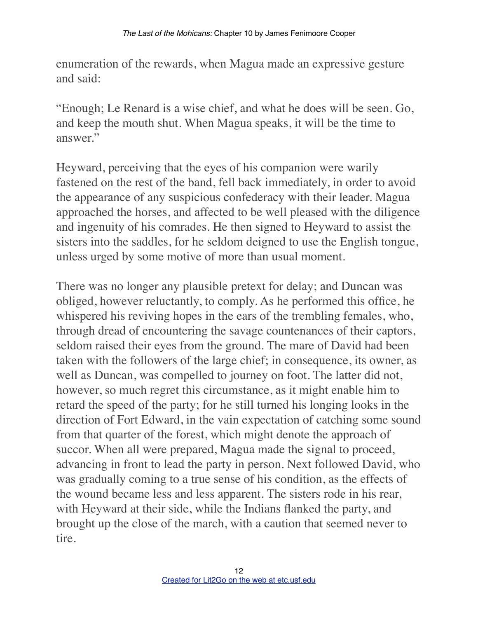enumeration of the rewards, when Magua made an expressive gesture and said:

"Enough; Le Renard is a wise chief, and what he does will be seen. Go, and keep the mouth shut. When Magua speaks, it will be the time to answer."

Heyward, perceiving that the eyes of his companion were warily fastened on the rest of the band, fell back immediately, in order to avoid the appearance of any suspicious confederacy with their leader. Magua approached the horses, and affected to be well pleased with the diligence and ingenuity of his comrades. He then signed to Heyward to assist the sisters into the saddles, for he seldom deigned to use the English tongue, unless urged by some motive of more than usual moment.

There was no longer any plausible pretext for delay; and Duncan was obliged, however reluctantly, to comply. As he performed this office, he whispered his reviving hopes in the ears of the trembling females, who, through dread of encountering the savage countenances of their captors, seldom raised their eyes from the ground. The mare of David had been taken with the followers of the large chief; in consequence, its owner, as well as Duncan, was compelled to journey on foot. The latter did not, however, so much regret this circumstance, as it might enable him to retard the speed of the party; for he still turned his longing looks in the direction of Fort Edward, in the vain expectation of catching some sound from that quarter of the forest, which might denote the approach of succor. When all were prepared, Magua made the signal to proceed, advancing in front to lead the party in person. Next followed David, who was gradually coming to a true sense of his condition, as the effects of the wound became less and less apparent. The sisters rode in his rear, with Heyward at their side, while the Indians flanked the party, and brought up the close of the march, with a caution that seemed never to tire.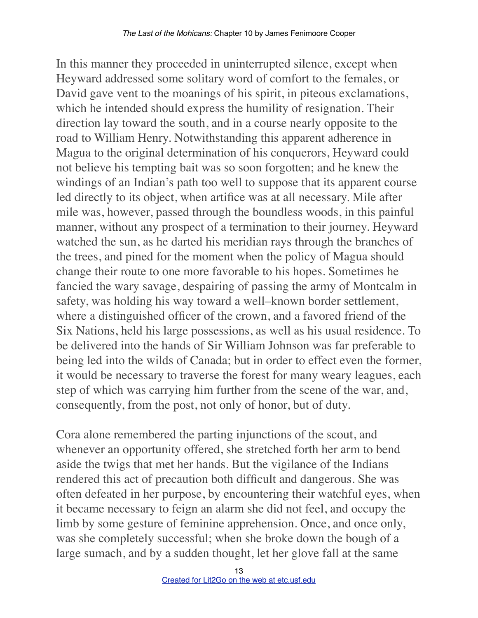In this manner they proceeded in uninterrupted silence, except when Heyward addressed some solitary word of comfort to the females, or David gave vent to the moanings of his spirit, in piteous exclamations, which he intended should express the humility of resignation. Their direction lay toward the south, and in a course nearly opposite to the road to William Henry. Notwithstanding this apparent adherence in Magua to the original determination of his conquerors, Heyward could not believe his tempting bait was so soon forgotten; and he knew the windings of an Indian's path too well to suppose that its apparent course led directly to its object, when artifice was at all necessary. Mile after mile was, however, passed through the boundless woods, in this painful manner, without any prospect of a termination to their journey. Heyward watched the sun, as he darted his meridian rays through the branches of the trees, and pined for the moment when the policy of Magua should change their route to one more favorable to his hopes. Sometimes he fancied the wary savage, despairing of passing the army of Montcalm in safety, was holding his way toward a well–known border settlement, where a distinguished officer of the crown, and a favored friend of the Six Nations, held his large possessions, as well as his usual residence. To be delivered into the hands of Sir William Johnson was far preferable to being led into the wilds of Canada; but in order to effect even the former, it would be necessary to traverse the forest for many weary leagues, each step of which was carrying him further from the scene of the war, and, consequently, from the post, not only of honor, but of duty.

Cora alone remembered the parting injunctions of the scout, and whenever an opportunity offered, she stretched forth her arm to bend aside the twigs that met her hands. But the vigilance of the Indians rendered this act of precaution both difficult and dangerous. She was often defeated in her purpose, by encountering their watchful eyes, when it became necessary to feign an alarm she did not feel, and occupy the limb by some gesture of feminine apprehension. Once, and once only, was she completely successful; when she broke down the bough of a large sumach, and by a sudden thought, let her glove fall at the same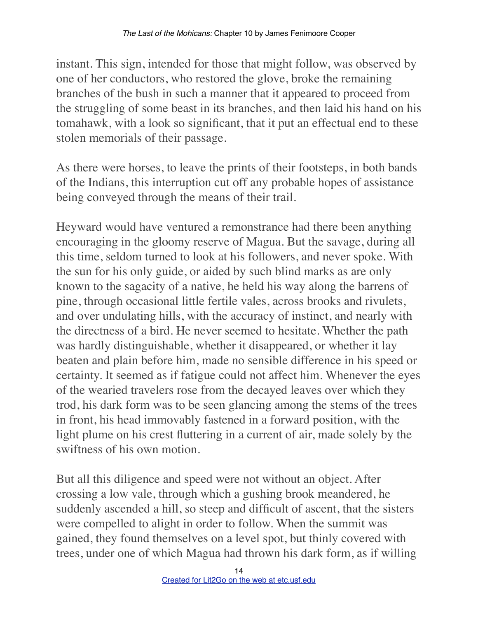instant. This sign, intended for those that might follow, was observed by one of her conductors, who restored the glove, broke the remaining branches of the bush in such a manner that it appeared to proceed from the struggling of some beast in its branches, and then laid his hand on his tomahawk, with a look so significant, that it put an effectual end to these stolen memorials of their passage.

As there were horses, to leave the prints of their footsteps, in both bands of the Indians, this interruption cut off any probable hopes of assistance being conveyed through the means of their trail.

Heyward would have ventured a remonstrance had there been anything encouraging in the gloomy reserve of Magua. But the savage, during all this time, seldom turned to look at his followers, and never spoke. With the sun for his only guide, or aided by such blind marks as are only known to the sagacity of a native, he held his way along the barrens of pine, through occasional little fertile vales, across brooks and rivulets, and over undulating hills, with the accuracy of instinct, and nearly with the directness of a bird. He never seemed to hesitate. Whether the path was hardly distinguishable, whether it disappeared, or whether it lay beaten and plain before him, made no sensible difference in his speed or certainty. It seemed as if fatigue could not affect him. Whenever the eyes of the wearied travelers rose from the decayed leaves over which they trod, his dark form was to be seen glancing among the stems of the trees in front, his head immovably fastened in a forward position, with the light plume on his crest fluttering in a current of air, made solely by the swiftness of his own motion.

But all this diligence and speed were not without an object. After crossing a low vale, through which a gushing brook meandered, he suddenly ascended a hill, so steep and difficult of ascent, that the sisters were compelled to alight in order to follow. When the summit was gained, they found themselves on a level spot, but thinly covered with trees, under one of which Magua had thrown his dark form, as if willing